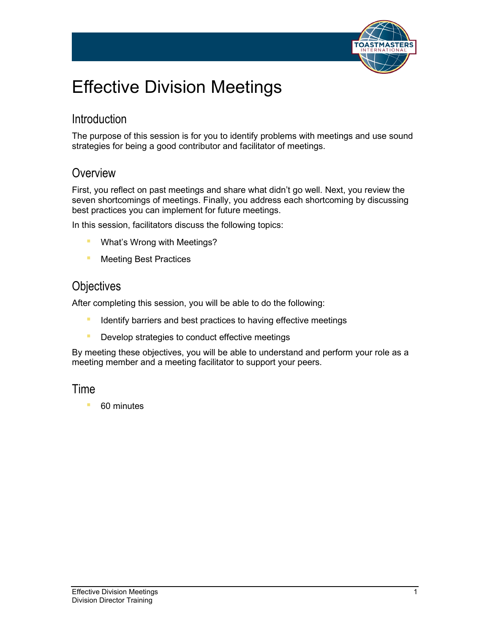

# Effective Division Meetings

### **Introduction**

The purpose of this session is for you to identify problems with meetings and use sound strategies for being a good contributor and facilitator of meetings.

### **Overview**

First, you reflect on past meetings and share what didn't go well. Next, you review the seven shortcomings of meetings. Finally, you address each shortcoming by discussing best practices you can implement for future meetings.

In this session, facilitators discuss the following topics:

- **■** What's Wrong with Meetings?
- **E** Meeting Best Practices

### **Objectives**

After completing this session, you will be able to do the following:

- **EXPLORED IDENT IS IDENT IS A THE INCORDER** Identify barriers and best practices to having effective meetings
- **Develop strategies to conduct effective meetings**

By meeting these objectives, you will be able to understand and perform your role as a meeting member and a meeting facilitator to support your peers.

### Time

■ 60 minutes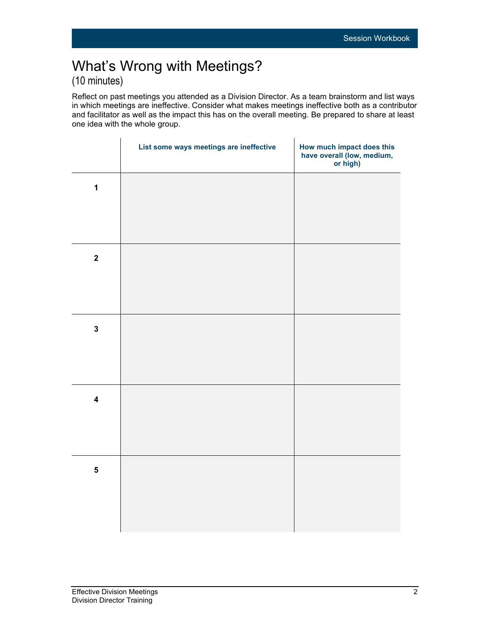## What's Wrong with Meetings? (10 minutes)

Reflect on past meetings you attended as a Division Director. As a team brainstorm and list ways in which meetings are ineffective. Consider what makes meetings ineffective both as a contributor and facilitator as well as the impact this has on the overall meeting. Be prepared to share at least one idea with the whole group.

| List some ways meetings are ineffective | How much impact does this<br>have overall (low, medium,<br>or high) |
|-----------------------------------------|---------------------------------------------------------------------|
|                                         |                                                                     |
|                                         |                                                                     |
|                                         |                                                                     |
|                                         |                                                                     |
|                                         |                                                                     |
|                                         |                                                                     |
|                                         |                                                                     |
|                                         |                                                                     |
|                                         |                                                                     |
|                                         |                                                                     |
|                                         |                                                                     |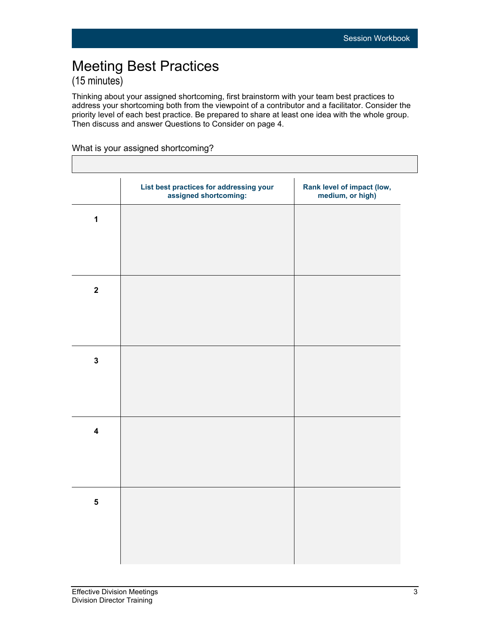## Meeting Best Practices (15 minutes)

Thinking about your assigned shortcoming, first brainstorm with your team best practices to address your shortcoming both from the viewpoint of a contributor and a facilitator. Consider the priority level of each best practice. Be prepared to share at least one idea with the whole group. Then discuss and answer Questions to Consider on page 4.

#### What is your assigned shortcoming?

|                         | List best practices for addressing your<br>assigned shortcoming: | Rank level of impact (low,<br>medium, or high) |
|-------------------------|------------------------------------------------------------------|------------------------------------------------|
| $\mathbf 1$             |                                                                  |                                                |
|                         |                                                                  |                                                |
| $\mathbf{2}$            |                                                                  |                                                |
|                         |                                                                  |                                                |
| $\mathbf 3$             |                                                                  |                                                |
|                         |                                                                  |                                                |
| $\overline{\mathbf{4}}$ |                                                                  |                                                |
|                         |                                                                  |                                                |
| $\overline{\mathbf{5}}$ |                                                                  |                                                |
|                         |                                                                  |                                                |
|                         |                                                                  |                                                |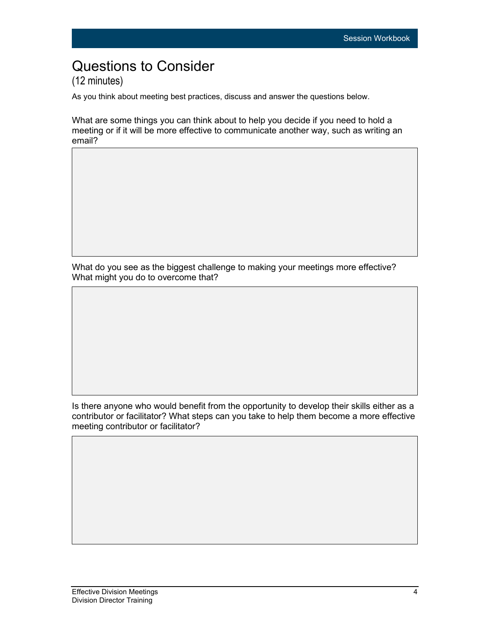## Questions to Consider (12 minutes)

As you think about meeting best practices, discuss and answer the questions below.

What are some things you can think about to help you decide if you need to hold a meeting or if it will be more effective to communicate another way, such as writing an email?

What do you see as the biggest challenge to making your meetings more effective? What might you do to overcome that?

Is there anyone who would benefit from the opportunity to develop their skills either as a contributor or facilitator? What steps can you take to help them become a more effective meeting contributor or facilitator?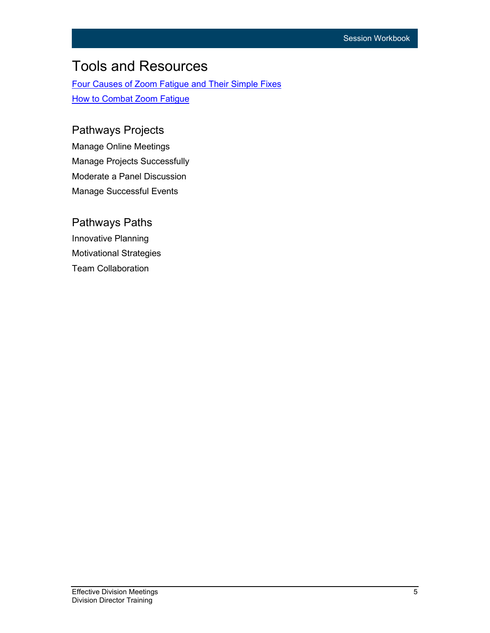## Tools and Resources

[Four Causes of Zoom Fatigue and Their Simple Fixes](https://news.stanford.edu/2021/02/23/four-causes-zoom-fatigue-solutions/) **[How to Combat Zoom Fatigue](https://hbr.org/2020/04/how-to-combat-zoom-fatigue)** 

### Pathways Projects

Manage Online Meetings Manage Projects Successfully Moderate a Panel Discussion Manage Successful Events

### Pathways Paths Innovative Planning Motivational Strategies Team Collaboration

**Effective Division Meetings** 5 Division Director Training